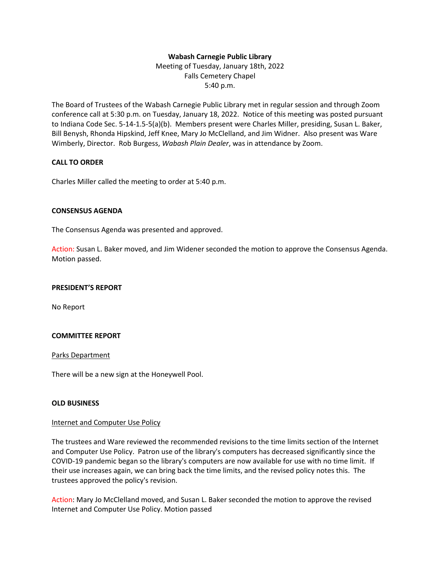## **Wabash Carnegie Public Library**

Meeting of Tuesday, January 18th, 2022 Falls Cemetery Chapel 5:40 p.m.

The Board of Trustees of the Wabash Carnegie Public Library met in regular session and through Zoom conference call at 5:30 p.m. on Tuesday, January 18, 2022. Notice of this meeting was posted pursuant to Indiana Code Sec. 5-14-1.5-5(a)(b). Members present were Charles Miller, presiding, Susan L. Baker, Bill Benysh, Rhonda Hipskind, Jeff Knee, Mary Jo McClelland, and Jim Widner. Also present was Ware Wimberly, Director. Rob Burgess, *Wabash Plain Dealer*, was in attendance by Zoom.

## **CALL TO ORDER**

Charles Miller called the meeting to order at 5:40 p.m.

## **CONSENSUS AGENDA**

The Consensus Agenda was presented and approved.

Action: Susan L. Baker moved, and Jim Widener seconded the motion to approve the Consensus Agenda. Motion passed.

#### **PRESIDENT'S REPORT**

No Report

#### **COMMITTEE REPORT**

#### Parks Department

There will be a new sign at the Honeywell Pool.

## **OLD BUSINESS**

#### Internet and Computer Use Policy

The trustees and Ware reviewed the recommended revisions to the time limits section of the Internet and Computer Use Policy. Patron use of the library's computers has decreased significantly since the COVID-19 pandemic began so the library's computers are now available for use with no time limit. If their use increases again, we can bring back the time limits, and the revised policy notes this. The trustees approved the policy's revision.

Action: Mary Jo McClelland moved, and Susan L. Baker seconded the motion to approve the revised Internet and Computer Use Policy. Motion passed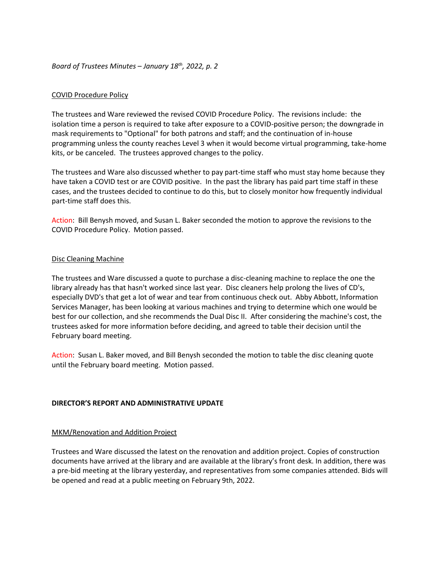## *Board of Trustees Minutes – January 18th, 2022, p. 2*

## COVID Procedure Policy

The trustees and Ware reviewed the revised COVID Procedure Policy. The revisions include: the isolation time a person is required to take after exposure to a COVID-positive person; the downgrade in mask requirements to "Optional" for both patrons and staff; and the continuation of in-house programming unless the county reaches Level 3 when it would become virtual programming, take-home kits, or be canceled. The trustees approved changes to the policy.

The trustees and Ware also discussed whether to pay part-time staff who must stay home because they have taken a COVID test or are COVID positive. In the past the library has paid part time staff in these cases, and the trustees decided to continue to do this, but to closely monitor how frequently individual part-time staff does this.

Action: Bill Benysh moved, and Susan L. Baker seconded the motion to approve the revisions to the COVID Procedure Policy. Motion passed.

#### Disc Cleaning Machine

The trustees and Ware discussed a quote to purchase a disc-cleaning machine to replace the one the library already has that hasn't worked since last year. Disc cleaners help prolong the lives of CD's, especially DVD's that get a lot of wear and tear from continuous check out. Abby Abbott, Information Services Manager, has been looking at various machines and trying to determine which one would be best for our collection, and she recommends the Dual Disc II. After considering the machine's cost, the trustees asked for more information before deciding, and agreed to table their decision until the February board meeting.

Action: Susan L. Baker moved, and Bill Benysh seconded the motion to table the disc cleaning quote until the February board meeting. Motion passed.

## **DIRECTOR'S REPORT AND ADMINISTRATIVE UPDATE**

#### MKM/Renovation and Addition Project

Trustees and Ware discussed the latest on the renovation and addition project. Copies of construction documents have arrived at the library and are available at the library's front desk. In addition, there was a pre-bid meeting at the library yesterday, and representatives from some companies attended. Bids will be opened and read at a public meeting on February 9th, 2022.